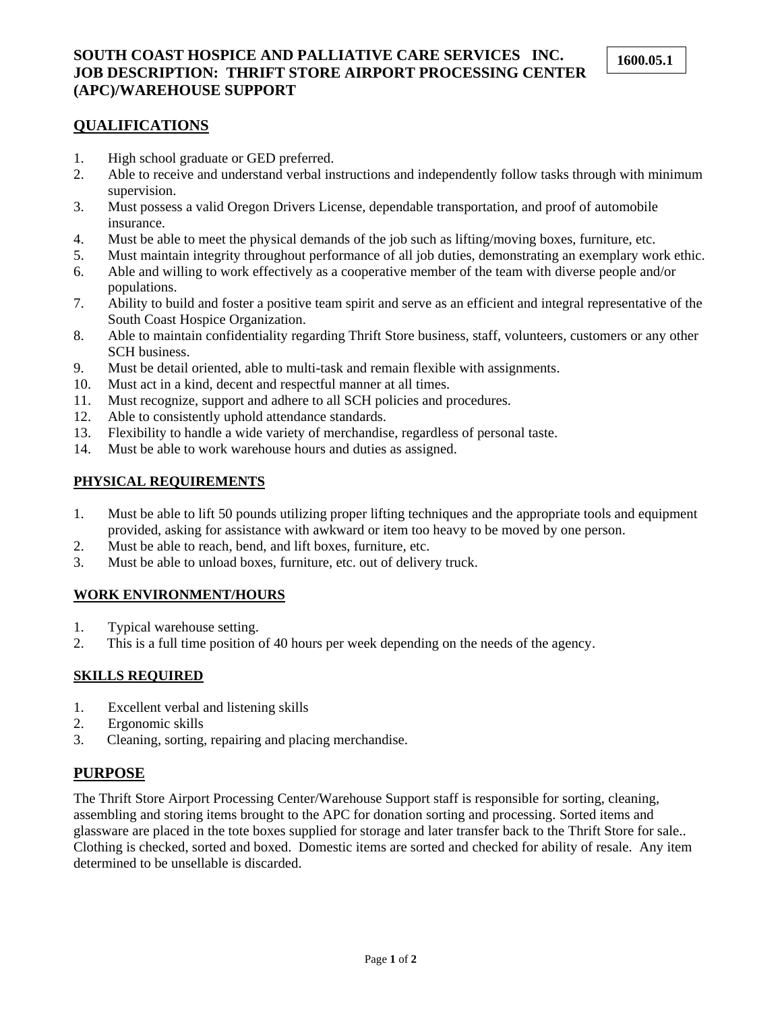## **SOUTH COAST HOSPICE AND PALLIATIVE CARE SERVICES INC. JOB DESCRIPTION: THRIFT STORE AIRPORT PROCESSING CENTER (APC)/WAREHOUSE SUPPORT**

### **QUALIFICATIONS**

- 1. High school graduate or GED preferred.
- 2. Able to receive and understand verbal instructions and independently follow tasks through with minimum supervision.
- 3. Must possess a valid Oregon Drivers License, dependable transportation, and proof of automobile insurance.
- 4. Must be able to meet the physical demands of the job such as lifting/moving boxes, furniture, etc.
- 5. Must maintain integrity throughout performance of all job duties, demonstrating an exemplary work ethic.
- 6. Able and willing to work effectively as a cooperative member of the team with diverse people and/or populations.
- 7. Ability to build and foster a positive team spirit and serve as an efficient and integral representative of the South Coast Hospice Organization.
- 8. Able to maintain confidentiality regarding Thrift Store business, staff, volunteers, customers or any other SCH business.
- 9. Must be detail oriented, able to multi-task and remain flexible with assignments.
- 10. Must act in a kind, decent and respectful manner at all times.
- 11. Must recognize, support and adhere to all SCH policies and procedures.
- 12. Able to consistently uphold attendance standards.
- 13. Flexibility to handle a wide variety of merchandise, regardless of personal taste.
- 14. Must be able to work warehouse hours and duties as assigned.

## **PHYSICAL REQUIREMENTS**

- 1. Must be able to lift 50 pounds utilizing proper lifting techniques and the appropriate tools and equipment provided, asking for assistance with awkward or item too heavy to be moved by one person.
- 2. Must be able to reach, bend, and lift boxes, furniture, etc.
- 3. Must be able to unload boxes, furniture, etc. out of delivery truck.

## **WORK ENVIRONMENT/HOURS**

- 1. Typical warehouse setting.
- 2. This is a full time position of 40 hours per week depending on the needs of the agency.

#### **SKILLS REQUIRED**

- 1. Excellent verbal and listening skills
- 2. Ergonomic skills
- 3. Cleaning, sorting, repairing and placing merchandise.

# **PURPOSE**

The Thrift Store Airport Processing Center/Warehouse Support staff is responsible for sorting, cleaning, assembling and storing items brought to the APC for donation sorting and processing. Sorted items and glassware are placed in the tote boxes supplied for storage and later transfer back to the Thrift Store for sale.. Clothing is checked, sorted and boxed. Domestic items are sorted and checked for ability of resale. Any item determined to be unsellable is discarded.